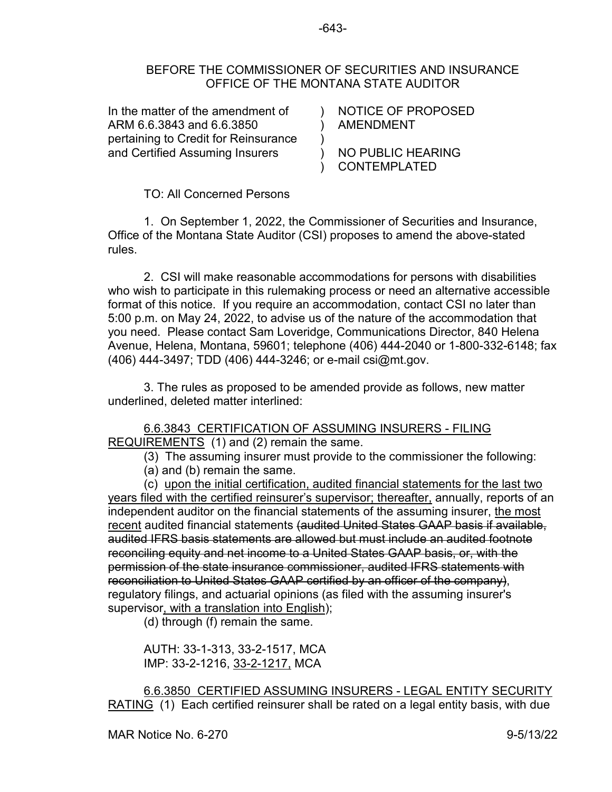## BEFORE THE COMMISSIONER OF SECURITIES AND INSURANCE OFFICE OF THE MONTANA STATE AUDITOR

)

 $\mathcal{L}$ 

In the matter of the amendment of ARM 6.6.3843 and 6.6.3850 pertaining to Credit for Reinsurance and Certified Assuming Insurers

) AMENDMENT NOTICE OF PROPOSED

) NO PUBLIC HEARING ) CONTEMPLATED

TO: All Concerned Persons

1. On September 1, 2022, the Commissioner of Securities and Insurance, Office of the Montana State Auditor (CSI) proposes to amend the above-stated rules.

2. CSI will make reasonable accommodations for persons with disabilities who wish to participate in this rulemaking process or need an alternative accessible format of this notice. If you require an accommodation, contact CSI no later than 5:00 p.m. on May 24, 2022, to advise us of the nature of the accommodation that you need. Please contact Sam Loveridge, Communications Director, 840 Helena Avenue, Helena, Montana, 59601; telephone (406) 444-2040 or 1-800-332-6148; fax (406) 444-3497; TDD (406) 444-3246; or e-mail csi@mt.gov.

3. The rules as proposed to be amended provide as follows, new matter underlined, deleted matter interlined:

[6.6.3843](https://rules.mt.gov/gateway/ruleno.asp?RN=6%2E6%2E3843) CERTIFICATION OF ASSUMING INSURERS - FILING REQUIREMENTS (1) and (2) remain the same.

(3) The assuming insurer must provide to the commissioner the following:

(a) and (b) remain the same.

(c) upon the initial certification, audited financial statements for the last two years filed with the certified reinsurer's supervisor; thereafter, annually, reports of an independent auditor on the financial statements of the assuming insurer, the most recent audited financial statements (audited United States GAAP basis if available, audited IFRS basis statements are allowed but must include an audited footnote reconciling equity and net income to a United States GAAP basis, or, with the permission of the state insurance commissioner, audited IFRS statements with reconciliation to United States GAAP certified by an officer of the company), regulatory filings, and actuarial opinions (as filed with the assuming insurer's supervisor, with a translation into English);

(d) through (f) remain the same.

AUTH: 33-1-313, 33-2-1517, MCA IMP: 33-2-1216, 33-2-1217, MCA

[6.6.3850](https://rules.mt.gov/gateway/ruleno.asp?RN=6%2E6%2E3850) CERTIFIED ASSUMING INSURERS - LEGAL ENTITY SECURITY RATING (1) Each certified reinsurer shall be rated on a legal entity basis, with due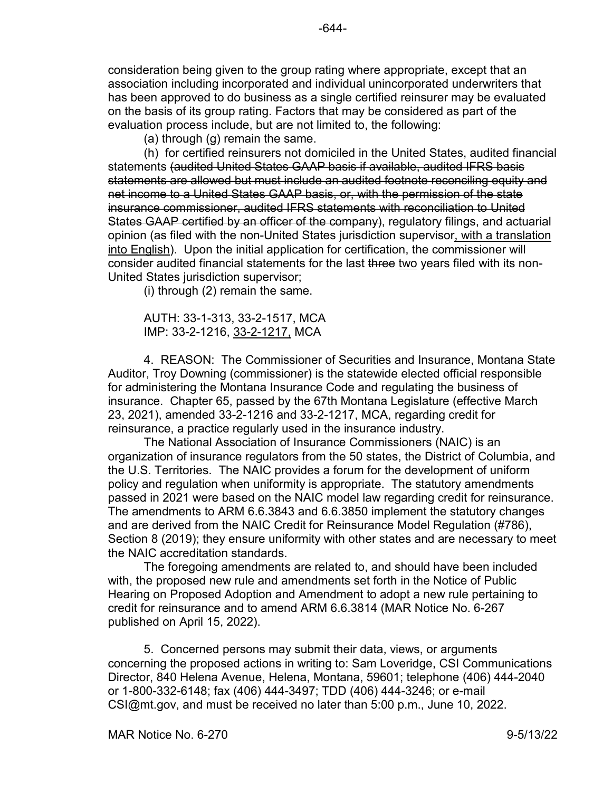consideration being given to the group rating where appropriate, except that an association including incorporated and individual unincorporated underwriters that has been approved to do business as a single certified reinsurer may be evaluated on the basis of its group rating. Factors that may be considered as part of the evaluation process include, but are not limited to, the following:

(a) through (g) remain the same.

(h) for certified reinsurers not domiciled in the United States, audited financial statements (audited United States GAAP basis if available, audited IFRS basis statements are allowed but must include an audited footnote reconciling equity and net income to a United States GAAP basis, or, with the permission of the state insurance commissioner, audited IFRS statements with reconciliation to United States GAAP certified by an officer of the company), regulatory filings, and actuarial opinion (as filed with the non-United States jurisdiction supervisor, with a translation into English). Upon the initial application for certification, the commissioner will consider audited financial statements for the last three two years filed with its non-United States jurisdiction supervisor;

(i) through (2) remain the same.

AUTH: 33-1-313, 33-2-1517, MCA IMP: 33-2-1216, 33-2-1217, MCA

4. REASON: The Commissioner of Securities and Insurance, Montana State Auditor, Troy Downing (commissioner) is the statewide elected official responsible for administering the Montana Insurance Code and regulating the business of insurance. Chapter 65, passed by the 67th Montana Legislature (effective March 23, 2021), amended 33-2-1216 and 33-2-1217, MCA, regarding credit for reinsurance, a practice regularly used in the insurance industry.

The National Association of Insurance Commissioners (NAIC) is an organization of insurance regulators from the 50 states, the District of Columbia, and the U.S. Territories. The NAIC provides a forum for the development of uniform policy and regulation when uniformity is appropriate. The statutory amendments passed in 2021 were based on the NAIC model law regarding credit for reinsurance. The amendments to ARM 6.6.3843 and 6.6.3850 implement the statutory changes and are derived from the NAIC Credit for Reinsurance Model Regulation (#786), Section 8 (2019); they ensure uniformity with other states and are necessary to meet the NAIC accreditation standards.

The foregoing amendments are related to, and should have been included with, the proposed new rule and amendments set forth in the Notice of Public Hearing on Proposed Adoption and Amendment to adopt a new rule pertaining to credit for reinsurance and to amend ARM 6.6.3814 (MAR Notice No. 6-267 published on April 15, 2022).

5. Concerned persons may submit their data, views, or arguments concerning the proposed actions in writing to: Sam Loveridge, CSI Communications Director, 840 Helena Avenue, Helena, Montana, 59601; telephone (406) 444-2040 or 1-800-332-6148; fax (406) 444-3497; TDD (406) 444-3246; or e-mail CSI@mt.gov, and must be received no later than 5:00 p.m., June 10, 2022.